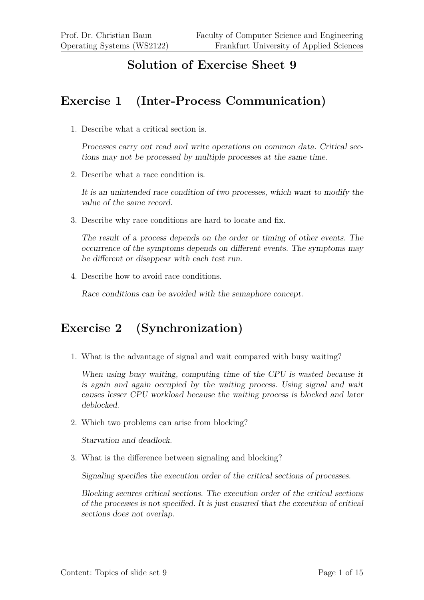#### **Solution of Exercise Sheet 9**

#### **Exercise 1 (Inter-Process Communication)**

1. Describe what a critical section is.

Processes carry out read and write operations on common data. Critical sections may not be processed by multiple processes at the same time.

2. Describe what a race condition is.

It is an unintended race condition of two processes, which want to modify the value of the same record.

3. Describe why race conditions are hard to locate and fix.

The result of a process depends on the order or timing of other events. The occurrence of the symptoms depends on different events. The symptoms may be different or disappear with each test run.

4. Describe how to avoid race conditions.

Race conditions can be avoided with the semaphore concept.

### **Exercise 2 (Synchronization)**

1. What is the advantage of signal and wait compared with busy waiting?

When using busy waiting, computing time of the CPU is wasted because it is again and again occupied by the waiting process. Using signal and wait causes lesser CPU workload because the waiting process is blocked and later deblocked.

2. Which two problems can arise from blocking?

Starvation and deadlock.

3. What is the difference between signaling and blocking?

Signaling specifies the execution order of the critical sections of processes.

Blocking secures critical sections. The execution order of the critical sections of the processes is not specified. It is just ensured that the execution of critical sections does not overlap.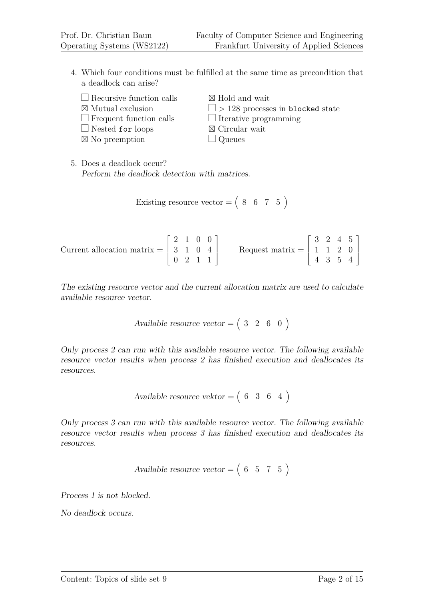- 4. Which four conditions must be fulfilled at the same time as precondition that a deadlock can arise?
	- $\Box$  Recursive function calls  $\boxtimes$  Mutual exclusion  $\Box$  Frequent function calls
	-
	- $\Box$  Nested for loops ⊠ No preemption

 $\boxtimes$  Hold and wait

- $\Box$  > 128 processes in blocked state
- $\Box$  Iterative programming
- $\boxtimes$  Circular wait
- $\Box$  Queues

5. Does a deadlock occur? Perform the deadlock detection with matrices.

$$
Existing resource vector = \begin{pmatrix} 8 & 6 & 7 & 5 \end{pmatrix}
$$

Current allocation matrix =  $\lceil$  $\Big\}$ 2 1 0 0 3 1 0 4 0 2 1 1 1 Request matrix =  $\sqrt{ }$  $\overline{\phantom{a}}$ 3 2 4 5 1 1 2 0 4 3 5 4 1  $\Big\}$ 

The existing resource vector and the current allocation matrix are used to calculate available resource vector.

Available resource vector = 
$$
(3 \ 2 \ 6 \ 0)
$$

Only process 2 can run with this available resource vector. The following available resource vector results when process 2 has finished execution and deallocates its resources.

$$
Available resource vektor = \begin{pmatrix} 6 & 3 & 6 & 4 \end{pmatrix}
$$

Only process 3 can run with this available resource vector. The following available resource vector results when process 3 has finished execution and deallocates its resources.

Available resource vector = 
$$
(6 \ 5 \ 7 \ 5)
$$

Process 1 is not blocked.

No deadlock occurs.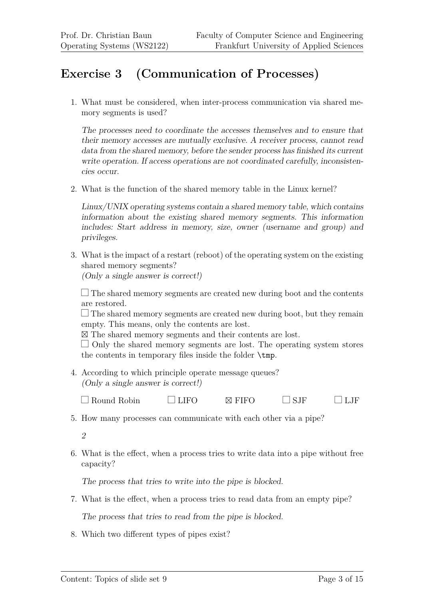# **Exercise 3 (Communication of Processes)**

1. What must be considered, when inter-process communication via shared memory segments is used?

The processes need to coordinate the accesses themselves and to ensure that their memory accesses are mutually exclusive. A receiver process, cannot read data from the shared memory, before the sender process has finished its current write operation. If access operations are not coordinated carefully, inconsistencies occur.

2. What is the function of the shared memory table in the Linux kernel?

Linux/UNIX operating systems contain a shared memory table, which contains information about the existing shared memory segments. This information includes: Start address in memory, size, owner (username and group) and privileges.

3. What is the impact of a restart (reboot) of the operating system on the existing shared memory segments? (Only a single answer is correct!)

 $\Box$  The shared memory segments are created new during boot and the contents are restored.

 $\Box$  The shared memory segments are created new during boot, but they remain empty. This means, only the contents are lost.

- The shared memory segments and their contents are lost.

 $\Box$  Only the shared memory segments are lost. The operating system stores the contents in temporary files inside the folder \tmp.

4. According to which principle operate message queues? (Only a single answer is correct!)

 $\Box$  Round Robin  $\Box$  LIFO  $\Box$  FIFO  $\Box$  SJF  $\Box$  LJF

5. How many processes can communicate with each other via a pipe?

2

6. What is the effect, when a process tries to write data into a pipe without free capacity?

The process that tries to write into the pipe is blocked.

7. What is the effect, when a process tries to read data from an empty pipe?

The process that tries to read from the pipe is blocked.

8. Which two different types of pipes exist?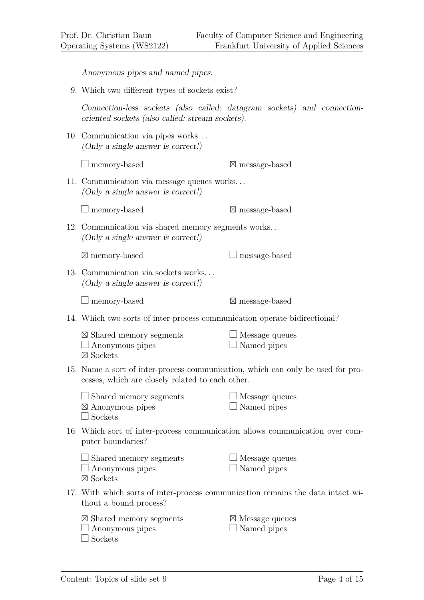Anonymous pipes and named pipes.

9. Which two different types of sockets exist?

Connection-less sockets (also called: datagram sockets) and connectionoriented sockets (also called: stream sockets).

10. Communication via pipes works. . . (Only a single answer is correct!)

| $\Box$ memory-based |  |
|---------------------|--|

message-based

11. Communication via message queues works. . . (Only a single answer is correct!)

 $\Box$  memory-based ⊠ message-based

12. Communication via shared memory segments works. . . (Only a single answer is correct!)

 $\boxtimes$  memory-based

13. Communication via sockets works. . . (Only a single answer is correct!)

 $\Box$  memory-based

message-based

 $\Box$  message-based

14. Which two sorts of inter-process communication operate bidirectional?

| $\boxtimes$ Shared memory segments | $\Box$ Message queues |
|------------------------------------|-----------------------|
| $\Box$ Anonymous pipes             | □ Named pipes         |
| $\boxtimes$ Sockets                |                       |

15. Name a sort of inter-process communication, which can only be used for processes, which are closely related to each other.

| $\Box$ Shared memory segments | $\Box$ Message queues |
|-------------------------------|-----------------------|
| $\boxtimes$ Anonymous pipes   | $\Box$ Named pipes    |
| $\Box$ Sockets                |                       |

16. Which sort of inter-process communication allows communication over computer boundaries?

| $\Box$ Shared memory segments | $\Box$ Message queues |
|-------------------------------|-----------------------|
| $\Box$ Anonymous pipes        | $\Box$ Named pipes    |
| $\boxtimes$ Sockets           |                       |

17. With which sorts of inter-process communication remains the data intact without a bound process?

| $\boxtimes$ Shared memory segments | $\boxtimes$ Message queues |
|------------------------------------|----------------------------|
| $\Box$ Anonymous pipes             | $\Box$ Named pipes         |

 $\Box$  Sockets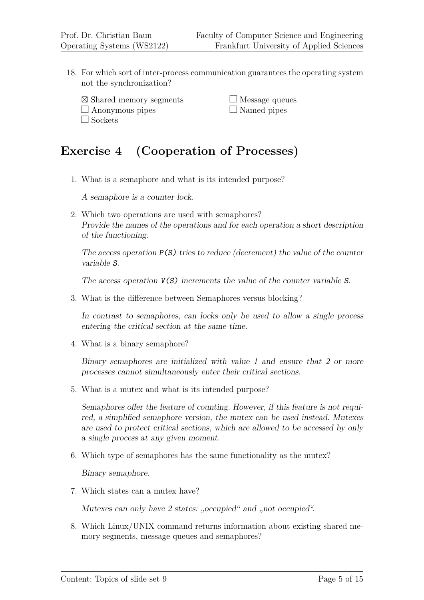$\Box$  Sockets

- 18. For which sort of inter-process communication guarantees the operating system not the synchronization?
	- ⊠ Shared memory segments  $\Box$  Anonymous pipes

 $\Box$  Message queues  $\Box$  Named pipes

# **Exercise 4 (Cooperation of Processes)**

1. What is a semaphore and what is its intended purpose?

A semaphore is a counter lock.

2. Which two operations are used with semaphores? Provide the names of the operations and for each operation a short description of the functioning.

The access operation  $P(S)$  tries to reduce (decrement) the value of the counter variable S.

The access operation  $V(S)$  increments the value of the counter variable S.

3. What is the difference between Semaphores versus blocking?

In contrast to semaphores, can locks only be used to allow a single process entering the critical section at the same time.

4. What is a binary semaphore?

Binary semaphores are initialized with value 1 and ensure that 2 or more processes cannot simultaneously enter their critical sections.

5. What is a mutex and what is its intended purpose?

Semaphores offer the feature of counting. However, if this feature is not required, a simplified semaphore version, the mutex can be used instead. Mutexes are used to protect critical sections, which are allowed to be accessed by only a single process at any given moment.

6. Which type of semaphores has the same functionality as the mutex?

Binary semaphore.

7. Which states can a mutex have?

Mutexes can only have 2 states: "occupied" and "not occupied".

8. Which Linux/UNIX command returns information about existing shared memory segments, message queues and semaphores?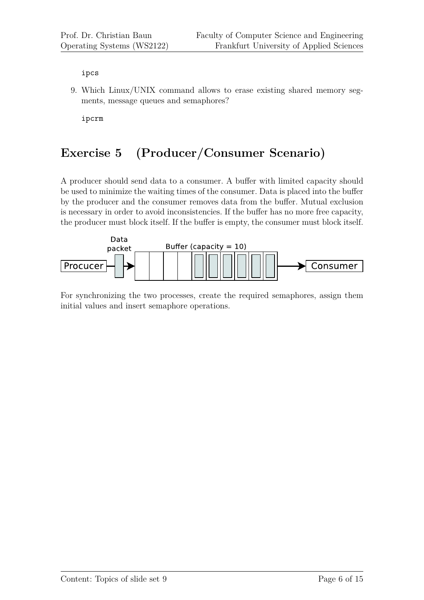ipcs

9. Which Linux/UNIX command allows to erase existing shared memory segments, message queues and semaphores?

ipcrm

# **Exercise 5 (Producer/Consumer Scenario)**

A producer should send data to a consumer. A buffer with limited capacity should be used to minimize the waiting times of the consumer. Data is placed into the buffer by the producer and the consumer removes data from the buffer. Mutual exclusion is necessary in order to avoid inconsistencies. If the buffer has no more free capacity, the producer must block itself. If the buffer is empty, the consumer must block itself.



For synchronizing the two processes, create the required semaphores, assign them initial values and insert semaphore operations.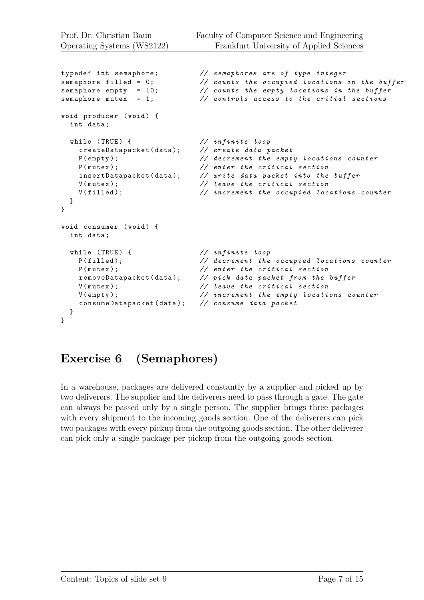```
typedef int semaphore ; // semaphores are of type integer
semaphore filled = 0; // counts the occupied locations in the buffer
semaphore empty = 10; // counts the empty locations in the buffer
semaphore mutex = 1; // controls access to the critial sections
void producer ( void ) {
 int data ;
 while ( TRUE ) { // infinite loop
   createDatapacket ( data ); // create data packet
   P ( empty ); // decrement the empty locations counter
   P(mutex); \frac{1}{2} enter the critical section<br>insertDatapacket(data); \frac{1}{2} write data packet into the
                            // write data packet into the buffer
   V ( mutex ); // leave the critical section
   V ( filled ); // increment the occupied locations counter
 }
}
void consumer ( void ) {
 int data ;
 while (TRUE) { \frac{1}{2} // infinite loop
   P ( filled ); // decrement the occupied locations counter
   P ( mutex ); // enter the critical section
   removeDatapacket ( data ); // pick data packet from the buffer
   V ( mutex ); // leave the critical section
   V ( empty ); // increment the empty locations counter
   consumeDatapacket ( data ); // consume data packet
 }
}
```
# **Exercise 6 (Semaphores)**

In a warehouse, packages are delivered constantly by a supplier and picked up by two deliverers. The supplier and the deliverers need to pass through a gate. The gate can always be passed only by a single person. The supplier brings three packages with every shipment to the incoming goods section. One of the deliverers can pick two packages with every pickup from the outgoing goods section. The other deliverer can pick only a single package per pickup from the outgoing goods section.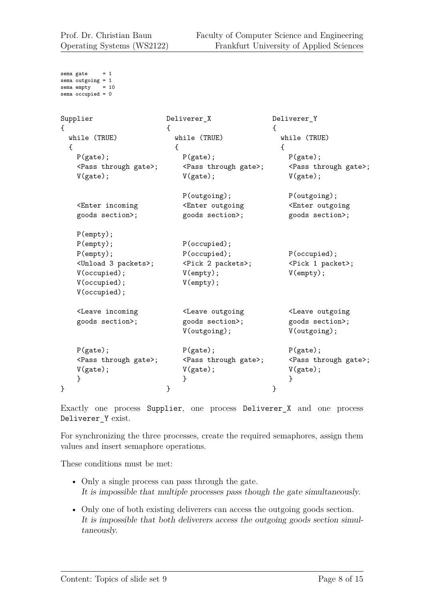```
sema gate = 1sema outgoing = 1
sema empty = 10
sema occupied = 0Supplier
{
  while (TRUE)
  {
   P(gate);
    <Pass through gate>;
    V(gate);
    <Enter incoming
    goods section>;
    P(empty);
    P(empty);
    P(empty);
    <Unload 3 packets>;
    V(occupied);
    V(occupied);
    V(occupied);
    <Leave incoming
    goods section>;
    P(gate);
    <Pass through gate>;
    V(gate);
    }
}
                          Deliverer_X
                          {
                            while (TRUE)
                            {
                              P(gate);
                              <Pass through gate>;
                              V(gate);
                              P(outgoing);
                              <Enter outgoing
                              goods section>;
                              P(occupied);
                              P(occupied);
                              <Pick 2 packets>;
                              V(empty);
                              V(empty);
                              <Leave outgoing
                              goods section>;
                              V(outgoing);
                              P(gate);
                              <Pass through gate>;
                              V(gate);
                              }
                          }
                                                     Deliverer_Y
                                                     {
                                                       while (TRUE)
                                                       {
                                                         P(gate);
                                                         <Pass through gate>;
                                                         V(gate);
                                                         P(outgoing);
                                                         <Enter outgoing
                                                         goods section>;
                                                         P(occupied);
                                                         <Pick 1 packet>;
                                                         V(empty);
                                                         <Leave outgoing
                                                         goods section>;
                                                         V(outgoing);
                                                         P(gate);
                                                         <Pass through gate>;
                                                         V(gate);
                                                         }
                                                     }
```
Exactly one process Supplier, one process Deliverer\_X and one process Deliverer Y exist.

For synchronizing the three processes, create the required semaphores, assign them values and insert semaphore operations.

These conditions must be met:

- Only a single process can pass through the gate. It is impossible that multiple processes pass though the gate simultaneously.
- Only one of both existing deliverers can access the outgoing goods section. It is impossible that both deliverers access the outgoing goods section simultaneously.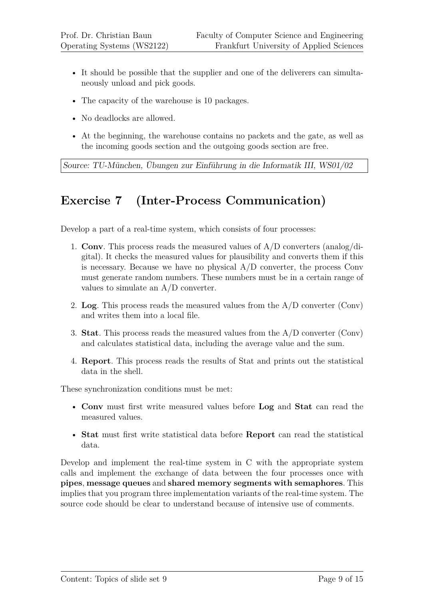- It should be possible that the supplier and one of the deliverers can simultaneously unload and pick goods.
- The capacity of the warehouse is 10 packages.
- No deadlocks are allowed.
- At the beginning, the warehouse contains no packets and the gate, as well as the incoming goods section and the outgoing goods section are free.

Source: TU-München, Übungen zur Einführung in die Informatik III, WS01/02

# **Exercise 7 (Inter-Process Communication)**

Develop a part of a real-time system, which consists of four processes:

- 1. **Conv**. This process reads the measured values of A/D converters (analog/digital). It checks the measured values for plausibility and converts them if this is necessary. Because we have no physical  $A/D$  converter, the process Conv must generate random numbers. These numbers must be in a certain range of values to simulate an A/D converter.
- 2. **Log**. This process reads the measured values from the A/D converter (Conv) and writes them into a local file.
- 3. **Stat**. This process reads the measured values from the A/D converter (Conv) and calculates statistical data, including the average value and the sum.
- 4. **Report**. This process reads the results of Stat and prints out the statistical data in the shell.

These synchronization conditions must be met:

- **Conv** must first write measured values before **Log** and **Stat** can read the measured values.
- **Stat** must first write statistical data before **Report** can read the statistical data.

Develop and implement the real-time system in C with the appropriate system calls and implement the exchange of data between the four processes once with **pipes**, **message queues** and **shared memory segments with semaphores**. This implies that you program three implementation variants of the real-time system. The source code should be clear to understand because of intensive use of comments.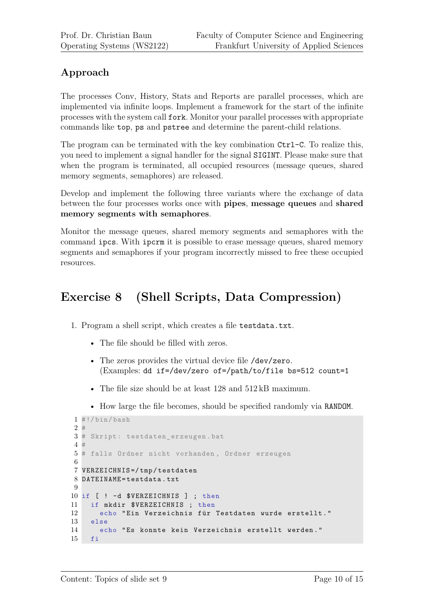#### **Approach**

The processes Conv, History, Stats and Reports are parallel processes, which are implemented via infinite loops. Implement a framework for the start of the infinite processes with the system call fork. Monitor your parallel processes with appropriate commands like top, ps and pstree and determine the parent-child relations.

The program can be terminated with the key combination  $\text{Ctrl}-C$ . To realize this, you need to implement a signal handler for the signal SIGINT. Please make sure that when the program is terminated, all occupied resources (message queues, shared memory segments, semaphores) are released.

Develop and implement the following three variants where the exchange of data between the four processes works once with **pipes**, **message queues** and **shared memory segments with semaphores**.

Monitor the message queues, shared memory segments and semaphores with the command ipcs. With ipcrm it is possible to erase message queues, shared memory segments and semaphores if your program incorrectly missed to free these occupied resources.

# **Exercise 8 (Shell Scripts, Data Compression)**

- 1. Program a shell script, which creates a file testdata.txt.
	- The file should be filled with zeros.
	- The zeros provides the virtual device file /dev/zero. (Examples: dd if=/dev/zero of=/path/to/file bs=512 count=1
	- The file size should be at least 128 and 512 kB maximum.
	- How large the file becomes, should be specified randomly via RANDOM.

```
1 #!/bin/bash
2 #
3 # Skript : testdaten_erzeugen . bat
4 #
5 # falls Ordner nicht vorhanden , Ordner erzeugen
6
7 VERZEICHNIS =/ tmp / testdaten
8 DATEINAME = testdata . txt
9
10 if [ ! -d $VERZEICHNIS ] ; then
11 if mkdir $VERZEICHNIS ; then
12 echo "Ein Verzeichnis für Testdaten wurde erstellt."
13 else
14 echo " Es konnte kein Verzeichnis erstellt werden . "
15 fi
```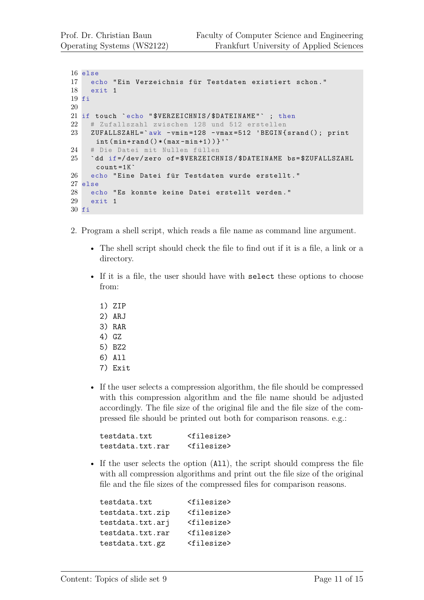```
16 else
17 echo "Ein Verzeichnis für Testdaten existiert schon."
18 exit 1
19 fi
20
21 if touch `echo "$VERZEICHNIS/$DATEINAME" ; then
22 # Zufallszahl zwischen 128 und 512 erstellen
23 ZUFALLSZAHL='awk - vmin=128 - vmax=512 'BEGIN { srand (); print
     int ( min + rand() * ( max - min + 1)) '
24 # Die Datei mit Nullen füllen
25 `dd if =/ dev / zero of = $VERZEICHNIS / $DATEINAME bs = $ZUFALLSZAHL
     count = 1K26 echo "Eine Datei für Testdaten wurde erstellt."
27 else
28 echo " Es konnte keine Datei erstellt werden . "
29 exit 1
30 fi
```
- 2. Program a shell script, which reads a file name as command line argument.
	- The shell script should check the file to find out if it is a file, a link or a directory.
	- If it is a file, the user should have with select these options to choose from:
		- 1) ZIP
		- 2) ARJ
		- 3) RAR
		- 4) GZ
		- 5) BZ2
		- 6) All
		- 7) Exit
	- If the user selects a compression algorithm, the file should be compressed with this compression algorithm and the file name should be adjusted accordingly. The file size of the original file and the file size of the compressed file should be printed out both for comparison reasons. e.g.:

| testdata.txt     | $<$ filesize $>$      |
|------------------|-----------------------|
| testdata.txt.rar | <filesize></filesize> |

• If the user selects the option (All), the script should compress the file with all compression algorithms and print out the file size of the original file and the file sizes of the compressed files for comparison reasons.

| testdata.txt     | <filesize></filesize> |
|------------------|-----------------------|
| testdata.txt.zip | <filesize></filesize> |
| testdata.txt.arj | <filesize></filesize> |
| testdata.txt.rar | <filesize></filesize> |
| testdata.txt.gz  | <filesize></filesize> |
|                  |                       |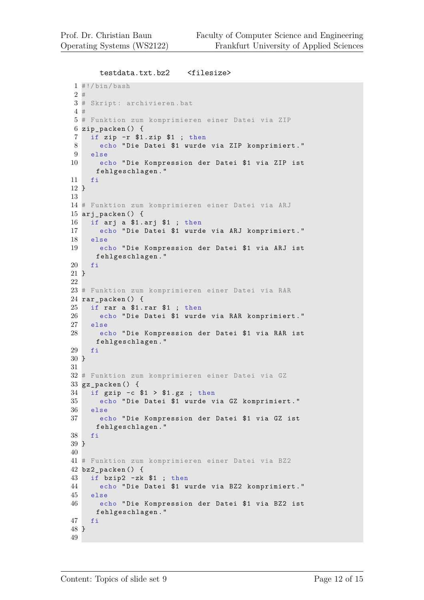```
testdata.txt.bz2 <filesize>
1 \#!/bin/bash
2 #
3 # Skript : archivieren .bat
4 #
5 # Funktion zum komprimieren einer Datei via ZIP
6 zip_packen () {
7 if zip -r $1 . zip $1 ; then
8 echo " Die Datei $1 wurde via ZIP komprimiert . "
9 else
10 echo " Die Kompression der Datei $1 via ZIP ist
     fehlgeschlagen . "
11 fi
12 }
13
14 # Funktion zum komprimieren einer Datei via ARJ
15 arj_packen () {
16 if arj a $1 . arj $1 ; then
17 echo " Die Datei $1 wurde via ARJ komprimiert . "
18 else
19 echo " Die Kompression der Datei $1 via ARJ ist
     fehlgeschlagen . "
20 fi
21 }
22
23 # Funktion zum komprimieren einer Datei via RAR
24 rar_packen () {
25 if rar a $1 . rar $1 ; then
26 echo " Die Datei $1 wurde via RAR komprimiert . "
27 else
28 echo " Die Kompression der Datei $1 via RAR ist
     fehlgeschlagen . "
29 fi
30 }
31
32 # Funktion zum komprimieren einer Datei via GZ
33 gz packen () {
34 if gzip -c $1 > $1 . gz ; then
35 echo " Die Datei $1 wurde via GZ komprimiert . "
36 else
37 echo " Die Kompression der Datei $1 via GZ ist
     fehlgeschlagen . "
38 fi
39 }
40
41 # Funktion zum komprimieren einer Datei via BZ2
42 bz2_packen () {
43 if bzip2 - zk $1 ; then
44 echo " Die Datei $1 wurde via BZ2 komprimiert . "
45 else
46 echo " Die Kompression der Datei $1 via BZ2 ist
     fehlgeschlagen . "
47 fi
48 }
49
```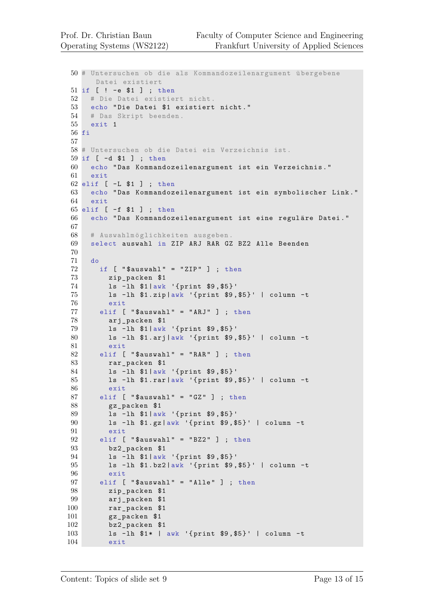```
50 # Untersuchen ob die als Kommandozeilenargument ü bergebene
     Datei existiert
51 if [ ! -e $1 ] ; then
52 # Die Datei existiert nicht .
53 echo " Die Datei $1 existiert nicht . "
54 # Das Skript beenden .
55 exit 1
56 fi
57
58 # Untersuchen ob die Datei ein Verzeichnis ist.
59 if [ -d $1 ] ; then
60 echo " Das Kommandozeilenargument ist ein Verzeichnis . "
61 exit
62 elif [ -L $1 ] ; then
63 echo " Das Kommandozeilenargument ist ein symbolischer Link . "
64 exit
65 elif [ -f $1 ] ; then
66 echo "Das Kommandozeilenargument ist eine reguläre Datei."
67
68 # Auswahlm ö glichkeiten ausgeben .
69 select auswahl in ZIP ARJ RAR GZ BZ2 Alle Beenden
70
71 do
72 if [ "$auswahl" = "ZIP" ]; then
73 zip_packen $1
74 ls - lh $1 |awk '{ print $9 , $5 }'
75 ls - lh $1 . zip |awk '{ print $9 , $5 }' | column -t
76 exit
77 elif [ "$auswahl" = "ARJ" ] ; then
78 arj_packen $1
79 ls - lh $1 |awk '{ print $9 , $5 }'
80 ls - lh $1 . arj |awk '{ print $9 , $5 }' | column -t
81 exit
82 elif [ "$auswahl" = "RAR" ] ; then
83 rar packen $1
84 ls - lh $1 |awk '{ print $9 , $5 }'
85 ls - lh $1 . rar |awk '{ print $9 , $5 }' | column -t
86 exit
87 elif [ "\texttt{\$auswahl" = "GZ" }] ; then
88 gz_packen $1
89 ls - lh $1 |awk '{ print $9 , $5 }'
90 ls - lh $1 . gz |awk '{ print $9 , $5 }' | column -t
91 exit
92 elif [ "$auswahl" = "BZ2" ]; then
93 bz2_packen $1
94 ls - lh $1 |awk '{ print $9 , $5 }'
95 ls - lh $1 . bz2 |awk '{ print $9 , $5 }' | column -t
96 exit
97 elif [ "$auswahl" = "Alle" ]; then
98 zip_packen $1
99 arj_packen $1
100 rar_packen $1
101 gz_packen $1
102 bz2_packen $1
103 ls - lh $1 * | awk '{ print $9 , $5 }' | column -t
104 exit
```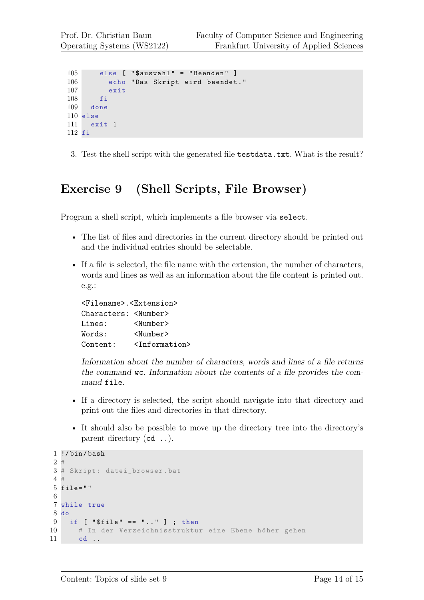```
105 else [ "$auxwahl" = "Beenden"]
106 echo "Das Skript wird beendet."
107 exit
108 fi
109 done
110 else
111 exit 1
112 fi
```
3. Test the shell script with the generated file testdata.txt. What is the result?

### **Exercise 9 (Shell Scripts, File Browser)**

Program a shell script, which implements a file browser via select.

- The list of files and directories in the current directory should be printed out and the individual entries should be selectable.
- If a file is selected, the file name with the extension, the number of characters, words and lines as well as an information about the file content is printed out. e.g.:

```
<Filename>.<Extension>
Characters: <Number>
Lines: <Number>
Words: <Number>
Content: \langleInformation>
```
Information about the number of characters, words and lines of a file returns the command wc. Information about the contents of a file provides the command file.

- If a directory is selected, the script should navigate into that directory and print out the files and directories in that directory.
- It should also be possible to move up the directory tree into the directory's parent directory (cd ..).

```
1 !/ bin / bash
2 \pm3 # Skript : datei_browser .bat
4 #
5 file = " "
6
7 while true
8 do
9 if [ " $file " == " .. " ] ; then
10 # In der Verzeichnisstruktur eine Ebene höher gehen
11 cd ..
```